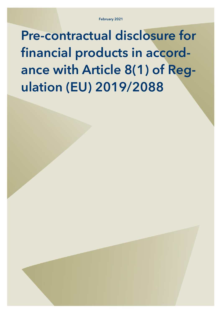February 2021

Pre-contractual disclosure for financial products in accordance with Article 8(1) of Regulation (EU) 2019/2088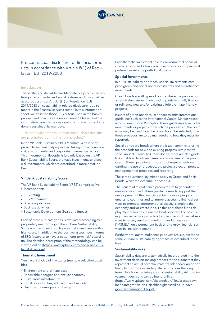

Pre-contractual disclosure for financial products in accordance with Article 8(1) of Regulation (EU) 2019/2088

#### Introduction

The VP Bank Sustainable Plus Mandate is a product advertising environmental and social features and thus qualifies as a product under Article 8(1) of Regulation (EU) 2019/2088 on sustainability-related disclosure requirements in the financial services sector. In this information sheet, we describe those ESG criteria used in the bank's product and how they are implemented. Please read the information carefully before signing a contract for a discretionary sustainability mandate.

### 1. What environmental and/or social characteristics are promoted by this financial product?

In the VP Bank Sustainable Plus Mandate, a holistic approach to sustainability is pursued taking into account social, environmental and corporate governance factors. This investment philosophy is broadly based on the VP Bank Sustainability Score, thematic investments and special investments, which are described in more detail below.

#### VP Bank Sustainability Score

The VP Bank Sustainability Score (VPSS) comprises five subcomponents:

- ESG Rating
- ESG Momentum
- Business practices
- Business activities
- Sustainable Development Goals and Impact

Each of these sub-categories is evaluated according to a proprietary methodology. The VP Bank Sustainability Score was designed in such a way that investments with a high score, in addition to the positive assessment in terms of ESG factors, also have a better long-term risk/reward ratio. The detailed description of the methodology can be viewed online (https://www.vpbank.com/en/vp-bank-sustainability-score).

#### Thematic Investment

You have a choice of five topics (multiple selection possible):

- Environment and climate action
- Renewable energies and circular economy
- Sustainable infrastructure
- Equal opportunities, education and security
- Health and demographic change

Each thematic investment covers environmental or social characteristics and allows you to incorporate your personal preferences into the portfolio allocation.

#### Special investments

In our sustainability approach, special investments comprise green and social bond investments and microfinance investments.

Green bonds are all types of bonds where the proceeds, or an equivalent amount, are used to partially or fully finance or refinance new and/or existing eligible climate-friendly projects.

Issuers of green bonds must adhere to strict international guidelines such as the International Capital Market Association's Green Bond Principles. These guidelines specify the investments or projects for which the proceeds of the bond issue may be used, how the projects can be selected, how these proceeds are to be managed and how they must be reported.

Social bonds are bonds where the issuer commits to using the proceeds for new and existing projects with positive social impact. Similar to Green Bonds, there are also guidelines that lead to a transparent and social use of the proceeds. These guidelines impose strict requirements regarding the use of proceeds, the project selection process, management of proceeds and reporting.

The same sustainability criteria apply to Green and Social Bonds, which we describe in section 3.

The issuers of microfinance products aim to generate a measurable impact. These products seek to support the development of the financial sector in developing and emerging countries and to improve access to financial services to promote entrepreneurial activity, stimulate the economy and/or create jobs. To this end, these funds deploy their resources to enable local, successful or promising financial service providers to offer specific financial services to micro, small and medium-sized enterprises ("MSMEs") on a permanent basis and to grow financial services in line with demand.

Furthermore, our microfinance products are subject to the same VP Bank sustainability approach as described in section 3.

#### Sustainability risks

Sustainability risks are systematically incorporated into the investment decision-making process to the extent that they represent an actual potential material risk and/or an opportunity to maximize risk-adequate returns over the long term. Details on the integration of sustainability risk into investment decisions can be found online (https://www.vpbank.com/sites/default/files/assets/downloads/Integration\_des\_Nachhaltigkeitsrisikos\_in\_Anla-

geentscheidungen\_EN.pdf).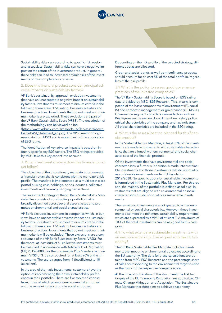

Sustainability risks vary according to specific risk, region and asset class. Sustainability risks can have a negative impact on the return of the investment product. In general, these risks can lead to increased default risks of the investments or to a complete loss of value.

## 2. Does this financial product consider principal adverse impacts on sustainability factors?

VP Bank's sustainability approach excludes investments that have an unacceptable negative impact on sustainability factors. Investments must meet minimum criteria in the following three areas: ESG rating, business activities and business practices. Investments that do not meet our minimum criteria are excluded. These exclusions are part of the VP Bank Sustainability Score (VPSS). The description of the methodology can be viewed online [\(https://www.vpbank.com/sites/default/files/assets/down](https://www.vpbank.com/sites/default/files/assets/downloads/PASI_Statement_en.pdf)[loads/PASI\\_Statement\\_en.pdf\)](https://www.vpbank.com/sites/default/files/assets/downloads/PASI_Statement_en.pdf). The VPSS methodology uses data from MSCI and is more than just the application of ESG rating.

The identification of key adverse impacts is based on industry specific key ESG factors. The ESG ratings provided by MSCI take this key aspect into account.

## 3. What investment strategy does this financial product follow?

The objective of the discretionary mandate is to generate a financial return that is consistent with the mandate's risk profile. The mandate is implemented as a multi-asset class portfolio using cash holdings, bonds, equities, collective investments and currency hedging transactions.

The investment strategy of the VP Bank Sustainability Mandate Plus consists of constructing a portfolio that is broadly diversified across several asset classes and promotes environmental and social characteristics.

VP Bank excludes investments in companies which, in our view, have an unacceptable adverse impact on sustainability factors. Investments must meet minimum criteria in the following three areas: ESG rating, business activities and business practices. Investments that do not meet our minimum criteria will be excluded. These exclusions are a consequence of the VP Bank Sustainability Score (VPSS). Furthermore, at least 80% of all collective investments must be classified in accordance with Article 8(1) of Regulation (EU) 2019/2088. For the Sustainable Plus Mandate, a minimum VPSS of 3 is also required for at least 90% of the investments. The score ranges from -1 (insufficient) to 10 (excellent).

In the area of thematic investments, customers have the option of implementing their own sustainability preferences in their portfolio. There are five topics to choose from, three of which promote environmental attributes and the remaining two promote social attributes.

Depending on the risk profile of the selected strategy, different quotas are allocated.

Green and social bonds as well as microfinance products should account for at least 5% of the total portfolio, regardless of the risk profile.

# 3.1 What is the policy to assess good governance practices of the investee companies?

The VP Bank Sustainability Score is based on ESG rating data provided by MSCI ESG Research. This, in turn, is composed of the basic components of environment (E), social (S) and corporate management or governance (G). MSCI's Governance segment considers various factors such as: Key figures on the owners, board members, salary policy, ethical characteristics of the company and tax indicators. All these characteristics are included in the ESG rating.

### 4. What is the asset allocation planned for this financial product?

In the Sustainable Plus Mandate, at least 90% of the investments are made in instruments with sustainable characteristics that are aligned with environmental and social characteristics of the financial product.

Of the investments that have environmental and social characteristics, a further subdivision is made into sustainable investments and those investments that do not qualify as sustainable investments under EU Regulation 2019/2088. No specific quota for sustainable investments is formulated in the Sustainable Plus Mandate. For this reason, the majority of the portfolio is defined as follows: Investments that are aligned with environmental or social characteristics but do not qualify as sustainable investments.

The remaining investments are not geared to either environmental or social characteristics. However, these investments also meet the minimum sustainability requirements, which are expressed as a VPSS of at least 3. A maximum of 10% of the total investments can be assigned to this category.

## 4.1 To what extent are sustainable investments with an environmental objective aligned with the EU taxonomy?

The VP Bank Sustainable Plus Mandate includes investments that meet the environmental objectives according to the EU taxonomy. The data for these calculations are obtained from MSCI ESG Research and the percentage share of sales corresponding to the environmental target is used as the basis for the respective company score.

At the time of publication of this document, the first two targets of the EU Taxonomy Regulation are applicable: Climate Change Mitigation and Adaptation. The Sustainable Plus Mandate therefore aims to achieve a taxonomy